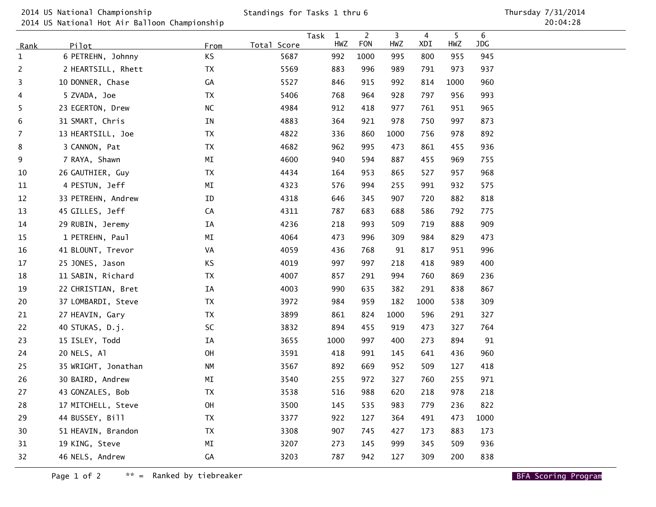2014 US National Championship

2014 US National Hot Air Balloon Championship

| <u>Rank</u>    | Pilot               | From                   | Total Score | Task<br>$\mathbf{1}$<br>HWZ | $\overline{2}$<br><b>FON</b> | 3<br>HWZ | 4<br>XDI | 5<br>HWZ | 6<br>JDG |
|----------------|---------------------|------------------------|-------------|-----------------------------|------------------------------|----------|----------|----------|----------|
| $\mathbf{1}$   | 6 PETREHN, Johnny   | KS                     | 5687        | 992                         | 1000                         | 995      | 800      | 955      | 945      |
| $\overline{c}$ | 2 HEARTSILL, Rhett  | <b>TX</b>              | 5569        | 883                         | 996                          | 989      | 791      | 973      | 937      |
| 3              | 10 DONNER, Chase    | GА                     | 5527        | 846                         | 915                          | 992      | 814      | 1000     | 960      |
| 4              | 5 ZVADA, Joe        | TX                     | 5406        | 768                         | 964                          | 928      | 797      | 956      | 993      |
| 5              | 23 EGERTON, Drew    | NC                     | 4984        | 912                         | 418                          | 977      | 761      | 951      | 965      |
| 6              | 31 SMART, Chris     | IN                     | 4883        | 364                         | 921                          | 978      | 750      | 997      | 873      |
| $\overline{7}$ | 13 HEARTSILL, Joe   | <b>TX</b>              | 4822        | 336                         | 860                          | 1000     | 756      | 978      | 892      |
| 8              | 3 CANNON, Pat       | ТX                     | 4682        | 962                         | 995                          | 473      | 861      | 455      | 936      |
| 9              | 7 RAYA, Shawn       | M <sub>I</sub>         | 4600        | 940                         | 594                          | 887      | 455      | 969      | 755      |
| 10             | 26 GAUTHIER, Guy    | <b>TX</b>              | 4434        | 164                         | 953                          | 865      | 527      | 957      | 968      |
| 11             | 4 PESTUN, Jeff      | $\mathsf{M}\mathsf{I}$ | 4323        | 576                         | 994                          | 255      | 991      | 932      | 575      |
| 12             | 33 PETREHN, Andrew  | ID                     | 4318        | 646                         | 345                          | 907      | 720      | 882      | 818      |
| 13             | 45 GILLES, Jeff     | CA                     | 4311        | 787                         | 683                          | 688      | 586      | 792      | 775      |
| 14             | 29 RUBIN, Jeremy    | ΙA                     | 4236        | 218                         | 993                          | 509      | 719      | 888      | 909      |
| 15             | 1 PETREHN, Paul     | M <sub>I</sub>         | 4064        | 473                         | 996                          | 309      | 984      | 829      | 473      |
| 16             | 41 BLOUNT, Trevor   | VA                     | 4059        | 436                         | 768                          | 91       | 817      | 951      | 996      |
| 17             | 25 JONES, Jason     | KS                     | 4019        | 997                         | 997                          | 218      | 418      | 989      | 400      |
| 18             | 11 SABIN, Richard   | TX                     | 4007        | 857                         | 291                          | 994      | 760      | 869      | 236      |
| 19             | 22 CHRISTIAN, Bret  | IA                     | 4003        | 990                         | 635                          | 382      | 291      | 838      | 867      |
| 20             | 37 LOMBARDI, Steve  | ТX                     | 3972        | 984                         | 959                          | 182      | 1000     | 538      | 309      |
| 21             | 27 HEAVIN, Gary     | ТX                     | 3899        | 861                         | 824                          | 1000     | 596      | 291      | 327      |
| 22             | 40 STUKAS, D.j.     | SC                     | 3832        | 894                         | 455                          | 919      | 473      | 327      | 764      |
| 23             | 15 ISLEY, Todd      | ΙA                     | 3655        | 1000                        | 997                          | 400      | 273      | 894      | 91       |
| 24             | 20 NELS, Al         | OH                     | 3591        | 418                         | 991                          | 145      | 641      | 436      | 960      |
| 25             | 35 WRIGHT, Jonathan | NΜ                     | 3567        | 892                         | 669                          | 952      | 509      | 127      | 418      |
| 26             | 30 BAIRD, Andrew    | M <sub>I</sub>         | 3540        | 255                         | 972                          | 327      | 760      | 255      | 971      |
| 27             | 43 GONZALES, Bob    | TX                     | 3538        | 516                         | 988                          | 620      | 218      | 978      | 218      |
| 28             | 17 MITCHELL, Steve  | OH                     | 3500        | 145                         | 535                          | 983      | 779      | 236      | 822      |
| 29             | 44 BUSSEY, Bill     | ТX                     | 3377        | 922                         | 127                          | 364      | 491      | 473      | 1000     |
| 30             | 51 HEAVIN, Brandon  | TX                     | 3308        | 907                         | 745                          | 427      | 173      | 883      | 173      |
| 31             | 19 KING, Steve      | MΙ                     | 3207        | 273                         | 145                          | 999      | 345      | 509      | 936      |
| 32             | 46 NELS, Andrew     | GА                     | 3203        | 787                         | 942                          | 127      | 309      | 200      | 838      |

Page 1 of 2 $**$  = Ranked by tiebreaker  $\blacksquare$